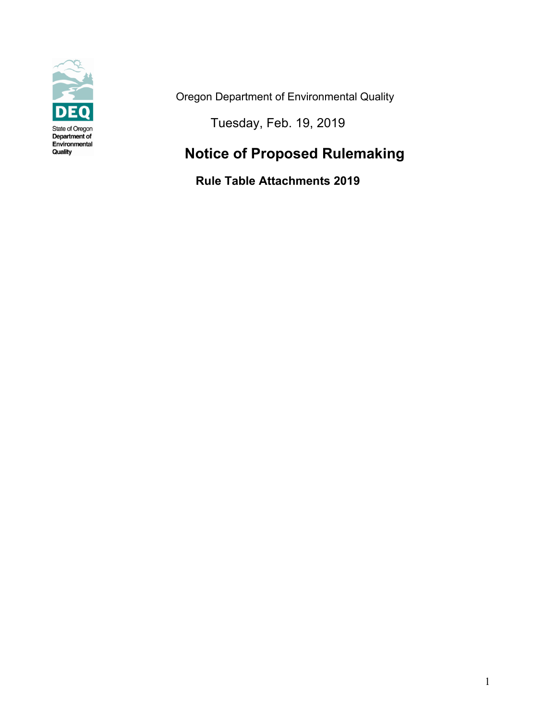

Oregon Department of Environmental Quality

Tuesday, Feb. 19, 2019

### **Notice of Proposed Rulemaking**

**Rule Table Attachments 2019**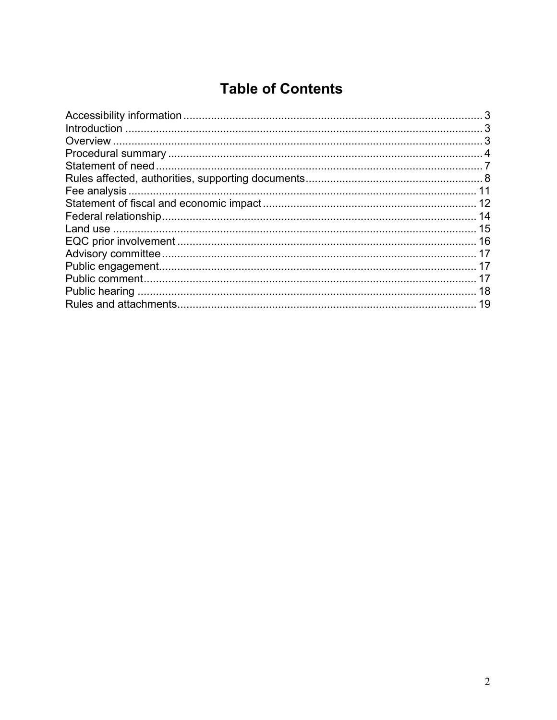### **Table of Contents**

| 11 |
|----|
|    |
|    |
| 15 |
|    |
|    |
|    |
|    |
|    |
| 19 |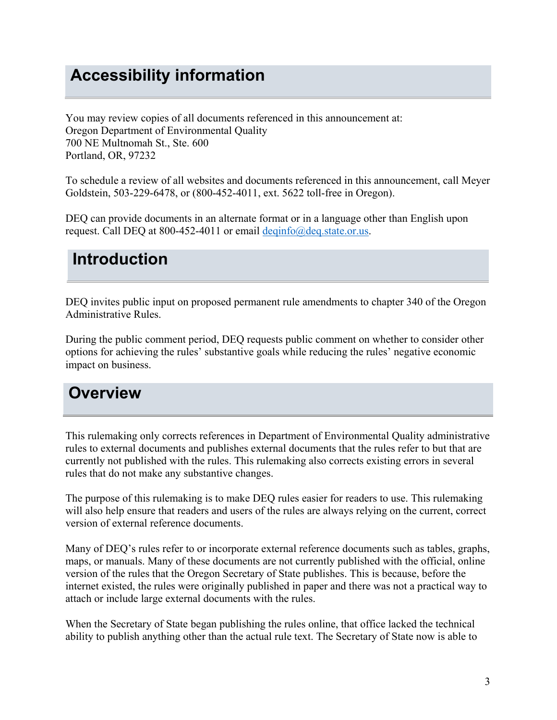# <span id="page-2-0"></span>**Accessibility information**

You may review copies of all documents referenced in this announcement at: Oregon Department of Environmental Quality 700 NE Multnomah St., Ste. 600 Portland, OR, 97232

To schedule a review of all websites and documents referenced in this announcement, call Meyer Goldstein, 503-229-6478, or (800-452-4011, ext. 5622 toll-free in Oregon).

DEQ can provide documents in an alternate format or in a language other than English upon request. Call DEQ at 800-452-4011 or email deginfo@deq.state.or.us.

### <span id="page-2-1"></span>**Introduction**

DEQ invites public input on proposed permanent rule amendments to chapter 340 of the Oregon Administrative Rules.

During the public comment period, DEQ requests public comment on whether to consider other options for achieving the rules' substantive goals while reducing the rules' negative economic impact on business.

### <span id="page-2-2"></span>**Overview**

This rulemaking only corrects references in Department of Environmental Quality administrative rules to external documents and publishes external documents that the rules refer to but that are currently not published with the rules. This rulemaking also corrects existing errors in several rules that do not make any substantive changes.

The purpose of this rulemaking is to make DEQ rules easier for readers to use. This rulemaking will also help ensure that readers and users of the rules are always relying on the current, correct version of external reference documents.

Many of DEQ's rules refer to or incorporate external reference documents such as tables, graphs, maps, or manuals. Many of these documents are not currently published with the official, online version of the rules that the Oregon Secretary of State publishes. This is because, before the internet existed, the rules were originally published in paper and there was not a practical way to attach or include large external documents with the rules.

When the Secretary of State began publishing the rules online, that office lacked the technical ability to publish anything other than the actual rule text. The Secretary of State now is able to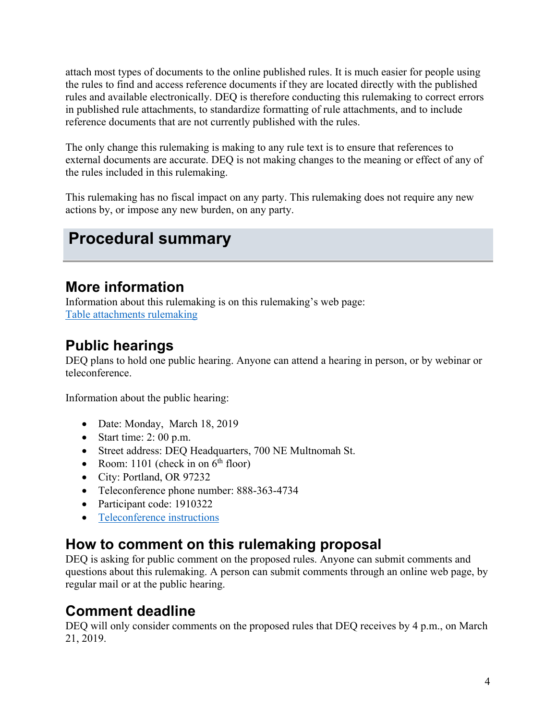attach most types of documents to the online published rules. It is much easier for people using the rules to find and access reference documents if they are located directly with the published rules and available electronically. DEQ is therefore conducting this rulemaking to correct errors in published rule attachments, to standardize formatting of rule attachments, and to include reference documents that are not currently published with the rules.

The only change this rulemaking is making to any rule text is to ensure that references to external documents are accurate. DEQ is not making changes to the meaning or effect of any of the rules included in this rulemaking.

This rulemaking has no fiscal impact on any party. This rulemaking does not require any new actions by, or impose any new burden, on any party.

# <span id="page-3-0"></span>**Procedural summary**

### **More information**

Information about this rulemaking is on this rulemaking's web page: [Table attachments rulemaking](https://www.oregon.gov/deq/Regulations/rulemaking/Pages/Rtables2019.aspx)

### **Public hearings**

DEQ plans to hold one public hearing. Anyone can attend a hearing in person, or by webinar or teleconference.

Information about the public hearing:

- Date: Monday, March 18, 2019
- Start time:  $2:00$  p.m.
- Street address: DEQ Headquarters, 700 NE Multnomah St.
- Room:  $1101$  (check in on  $6<sup>th</sup>$  floor)
- City: Portland, OR 97232
- Teleconference phone number: 888-363-4734
- Participant code: 1910322
- [Teleconference instructions](https://www.oregon.gov/deq/Rulemaking%20Docs/participantlinklog.pdf)

### **How to comment on this rulemaking proposal**

DEQ is asking for public comment on the proposed rules. Anyone can submit comments and questions about this rulemaking. A person can submit comments through an online web page, by regular mail or at the public hearing.

### **Comment deadline**

DEQ will only consider comments on the proposed rules that DEQ receives by 4 p.m., on March 21, 2019.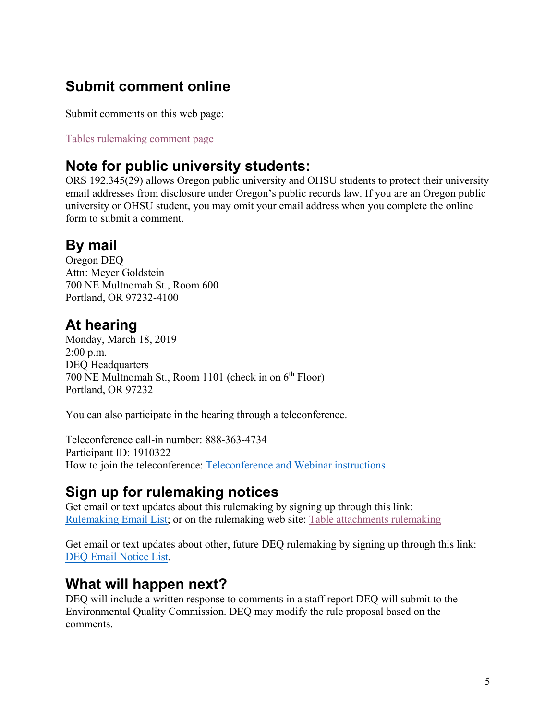### **Submit comment online**

Submit comments on this web page:

[Tables rulemaking comment page](https://www.oregon.gov/deq/Regulations/rulemaking/Pages/Ctables2019.aspx)

### **Note for public university students:**

ORS 192.345(29) allows Oregon public university and OHSU students to protect their university email addresses from disclosure under Oregon's public records law. If you are an Oregon public university or OHSU student, you may omit your email address when you complete the online form to submit a comment.

### **By mail**

Oregon DEQ Attn: Meyer Goldstein 700 NE Multnomah St., Room 600 Portland, OR 97232-4100

### **At hearing**

Monday, March 18, 2019 2:00 p.m. DEQ Headquarters 700 NE Multnomah St., Room 1101 (check in on  $6<sup>th</sup>$  Floor) Portland, OR 97232

You can also participate in the hearing through a teleconference.

Teleconference call-in number: 888-363-4734 Participant ID: 1910322 How to join the teleconference: [Teleconference and Webinar instructions](http://www.deq.state.or.us/regulations/docs/participantlinklog.pdf)

### **Sign up for rulemaking notices**

Get email or text updates about this rulemaking by signing up through this link: [Rulemaking Email List;](https://public.govdelivery.com/accounts/ORDEQ/subscriber/new?pop=t&topic_id=ORDEQ_548) or on the rulemaking web site: [Table attachments rulemaking](https://www.oregon.gov/deq/Regulations/rulemaking/Pages/Rtables2019.aspx)

Get email or text updates about other, future DEQ rulemaking by signing up through this link: [DEQ Email Notice List.](https://public.govdelivery.com/accounts/ORDEQ/subscriber/new?pop=t&topic_id=ORDEQ_548)

### **What will happen next?**

DEQ will include a written response to comments in a staff report DEQ will submit to the Environmental Quality Commission. DEQ may modify the rule proposal based on the comments.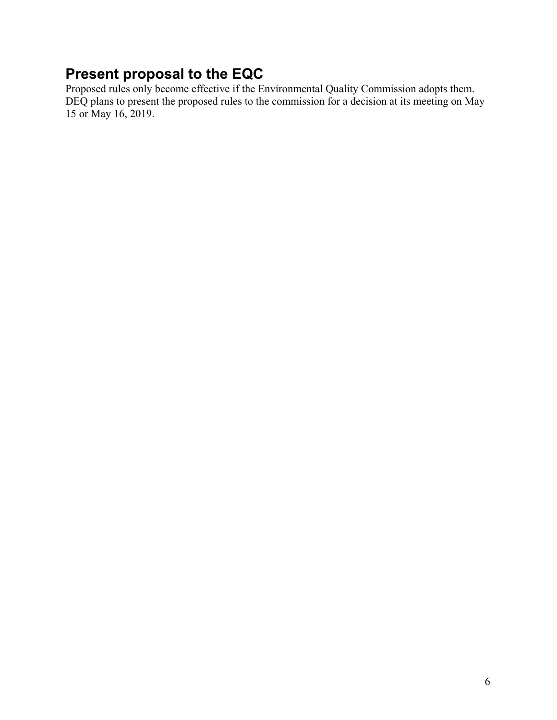### **Present proposal to the EQC**

Proposed rules only become effective if the Environmental Quality Commission adopts them. DEQ plans to present the proposed rules to the commission for a decision at its meeting on May 15 or May 16, 2019.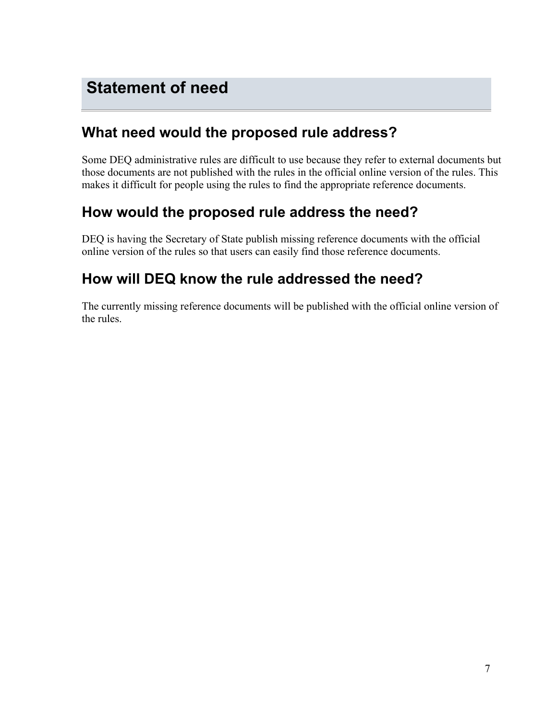### <span id="page-6-0"></span>**What need would the proposed rule address?**

Some DEQ administrative rules are difficult to use because they refer to external documents but those documents are not published with the rules in the official online version of the rules. This makes it difficult for people using the rules to find the appropriate reference documents.

### **How would the proposed rule address the need?**

DEQ is having the Secretary of State publish missing reference documents with the official online version of the rules so that users can easily find those reference documents.

### **How will DEQ know the rule addressed the need?**

The currently missing reference documents will be published with the official online version of the rules.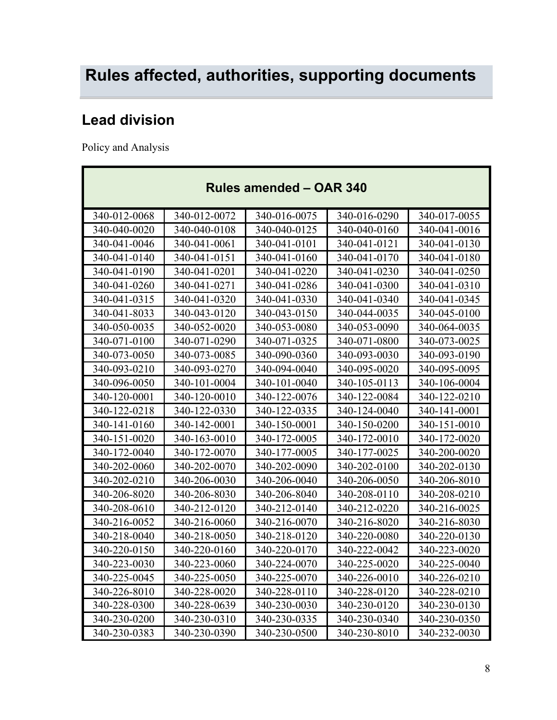# <span id="page-7-0"></span>**Lead division**

Policy and Analysis

| <b>Rules amended - OAR 340</b> |              |              |              |              |
|--------------------------------|--------------|--------------|--------------|--------------|
| 340-012-0068                   | 340-012-0072 | 340-016-0075 | 340-016-0290 | 340-017-0055 |
| 340-040-0020                   | 340-040-0108 | 340-040-0125 | 340-040-0160 | 340-041-0016 |
| 340-041-0046                   | 340-041-0061 | 340-041-0101 | 340-041-0121 | 340-041-0130 |
| 340-041-0140                   | 340-041-0151 | 340-041-0160 | 340-041-0170 | 340-041-0180 |
| 340-041-0190                   | 340-041-0201 | 340-041-0220 | 340-041-0230 | 340-041-0250 |
| 340-041-0260                   | 340-041-0271 | 340-041-0286 | 340-041-0300 | 340-041-0310 |
| 340-041-0315                   | 340-041-0320 | 340-041-0330 | 340-041-0340 | 340-041-0345 |
| 340-041-8033                   | 340-043-0120 | 340-043-0150 | 340-044-0035 | 340-045-0100 |
| 340-050-0035                   | 340-052-0020 | 340-053-0080 | 340-053-0090 | 340-064-0035 |
| 340-071-0100                   | 340-071-0290 | 340-071-0325 | 340-071-0800 | 340-073-0025 |
| 340-073-0050                   | 340-073-0085 | 340-090-0360 | 340-093-0030 | 340-093-0190 |
| 340-093-0210                   | 340-093-0270 | 340-094-0040 | 340-095-0020 | 340-095-0095 |
| 340-096-0050                   | 340-101-0004 | 340-101-0040 | 340-105-0113 | 340-106-0004 |
| 340-120-0001                   | 340-120-0010 | 340-122-0076 | 340-122-0084 | 340-122-0210 |
| 340-122-0218                   | 340-122-0330 | 340-122-0335 | 340-124-0040 | 340-141-0001 |
| 340-141-0160                   | 340-142-0001 | 340-150-0001 | 340-150-0200 | 340-151-0010 |
| 340-151-0020                   | 340-163-0010 | 340-172-0005 | 340-172-0010 | 340-172-0020 |
| 340-172-0040                   | 340-172-0070 | 340-177-0005 | 340-177-0025 | 340-200-0020 |
| 340-202-0060                   | 340-202-0070 | 340-202-0090 | 340-202-0100 | 340-202-0130 |
| 340-202-0210                   | 340-206-0030 | 340-206-0040 | 340-206-0050 | 340-206-8010 |
| 340-206-8020                   | 340-206-8030 | 340-206-8040 | 340-208-0110 | 340-208-0210 |
| 340-208-0610                   | 340-212-0120 | 340-212-0140 | 340-212-0220 | 340-216-0025 |
| 340-216-0052                   | 340-216-0060 | 340-216-0070 | 340-216-8020 | 340-216-8030 |
| 340-218-0040                   | 340-218-0050 | 340-218-0120 | 340-220-0080 | 340-220-0130 |
| 340-220-0150                   | 340-220-0160 | 340-220-0170 | 340-222-0042 | 340-223-0020 |
| 340-223-0030                   | 340-223-0060 | 340-224-0070 | 340-225-0020 | 340-225-0040 |
| 340-225-0045                   | 340-225-0050 | 340-225-0070 | 340-226-0010 | 340-226-0210 |
| 340-226-8010                   | 340-228-0020 | 340-228-0110 | 340-228-0120 | 340-228-0210 |
| 340-228-0300                   | 340-228-0639 | 340-230-0030 | 340-230-0120 | 340-230-0130 |
| 340-230-0200                   | 340-230-0310 | 340-230-0335 | 340-230-0340 | 340-230-0350 |
| 340-230-0383                   | 340-230-0390 | 340-230-0500 | 340-230-8010 | 340-232-0030 |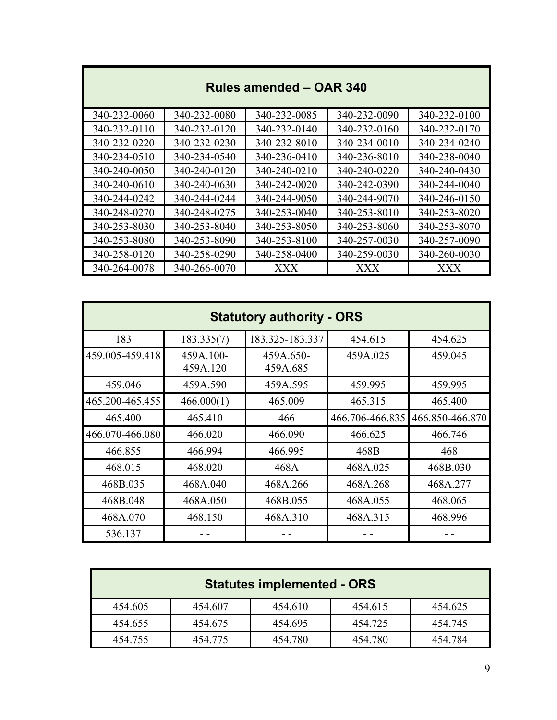| Rules amended - OAR 340 |              |              |              |              |
|-------------------------|--------------|--------------|--------------|--------------|
| 340-232-0060            | 340-232-0080 | 340-232-0085 | 340-232-0090 | 340-232-0100 |
| 340-232-0110            | 340-232-0120 | 340-232-0140 | 340-232-0160 | 340-232-0170 |
| 340-232-0220            | 340-232-0230 | 340-232-8010 | 340-234-0010 | 340-234-0240 |
| 340-234-0510            | 340-234-0540 | 340-236-0410 | 340-236-8010 | 340-238-0040 |
| 340-240-0050            | 340-240-0120 | 340-240-0210 | 340-240-0220 | 340-240-0430 |
| 340-240-0610            | 340-240-0630 | 340-242-0020 | 340-242-0390 | 340-244-0040 |
| 340-244-0242            | 340-244-0244 | 340-244-9050 | 340-244-9070 | 340-246-0150 |
| 340-248-0270            | 340-248-0275 | 340-253-0040 | 340-253-8010 | 340-253-8020 |
| 340-253-8030            | 340-253-8040 | 340-253-8050 | 340-253-8060 | 340-253-8070 |
| 340-253-8080            | 340-253-8090 | 340-253-8100 | 340-257-0030 | 340-257-0090 |
| 340-258-0120            | 340-258-0290 | 340-258-0400 | 340-259-0030 | 340-260-0030 |
| 340-264-0078            | 340-266-0070 | XXX          | XXX          | XXX          |

 $\mathbb{R}^n$ 

| <b>Statutory authority - ORS</b> |                       |                       |                 |                 |
|----------------------------------|-----------------------|-----------------------|-----------------|-----------------|
| 183                              | 183.335(7)            | 183.325-183.337       | 454.615         | 454.625         |
| 459.005-459.418                  | 459A.100-<br>459A.120 | 459A.650-<br>459A.685 | 459A.025        | 459.045         |
| 459.046                          | 459A.590              | 459A.595              | 459.995         | 459.995         |
| 465.200-465.455                  | 466.000(1)            | 465.009               | 465.315         | 465.400         |
| 465.400                          | 465.410               | 466                   | 466.706-466.835 | 466.850-466.870 |
| 466.070-466.080                  | 466.020               | 466.090               | 466.625         | 466.746         |
| 466.855                          | 466.994               | 466.995               | 468B            | 468             |
| 468.015                          | 468.020               | 468A                  | 468A.025        | 468B.030        |
| 468B.035                         | 468A.040              | 468A.266              | 468A.268        | 468A.277        |
| 468B.048                         | 468A.050              | 468B.055              | 468A.055        | 468.065         |
| 468A.070                         | 468.150               | 468A.310              | 468A.315        | 468.996         |
| 536.137                          |                       |                       |                 |                 |

| <b>Statutes implemented - ORS</b> |         |         |         |         |
|-----------------------------------|---------|---------|---------|---------|
| 454.605                           | 454.607 | 454.610 | 454.615 | 454.625 |
| 454.655                           | 454.675 | 454.695 | 454.725 | 454.745 |
| 454.755                           | 454.775 | 454.780 | 454.780 | 454.784 |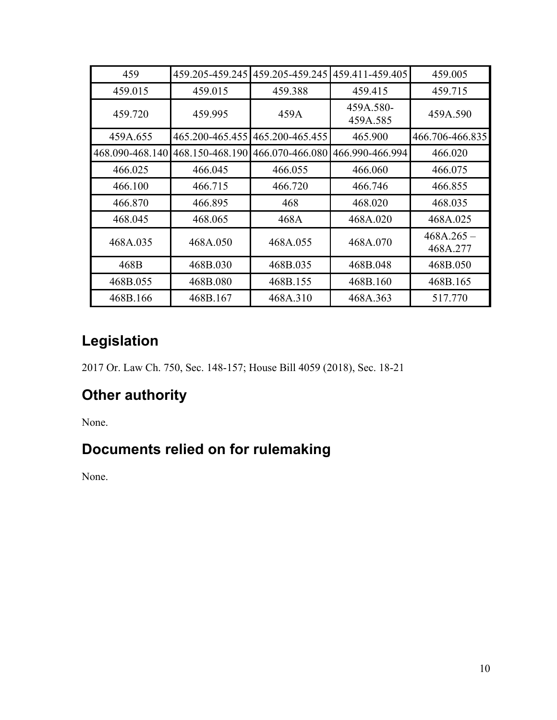| 459             | 459.205-459.245 | 459.205-459.245 | 459.411-459.405       | 459.005                  |
|-----------------|-----------------|-----------------|-----------------------|--------------------------|
| 459.015         | 459.015         | 459.388         | 459.415               | 459.715                  |
| 459.720         | 459.995         | 459A            | 459A.580-<br>459A.585 | 459A.590                 |
| 459A.655        | 465.200-465.455 | 465.200-465.455 | 465.900               | 466.706-466.835          |
| 468.090-468.140 | 468.150-468.190 | 466.070-466.080 | 466.990-466.994       | 466.020                  |
| 466.025         | 466.045         | 466.055         | 466.060               | 466.075                  |
| 466.100         | 466.715         | 466.720         | 466.746               | 466.855                  |
| 466.870         | 466.895         | 468             | 468.020               | 468.035                  |
| 468.045         | 468.065         | 468A            | 468A.020              | 468A.025                 |
| 468A.035        | 468A.050        | 468A.055        | 468A.070              | $468A.265 -$<br>468A.277 |
| 468B            | 468B.030        | 468B.035        | 468B.048              | 468B.050                 |
| 468B.055        | 468B.080        | 468B.155        | 468B.160              | 468B.165                 |
| 468B.166        | 468B.167        | 468A.310        | 468A.363              | 517.770                  |

# **Legislation**

2017 Or. Law Ch. 750, Sec. 148-157; House Bill 4059 (2018), Sec. 18-21

# **Other authority**

None.

# **Documents relied on for rulemaking**

None.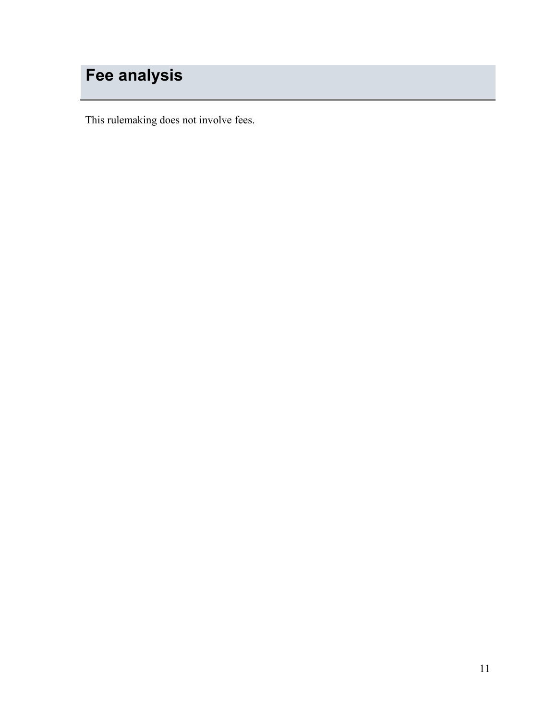# <span id="page-10-0"></span>**Fee analysis**

This rulemaking does not involve fees.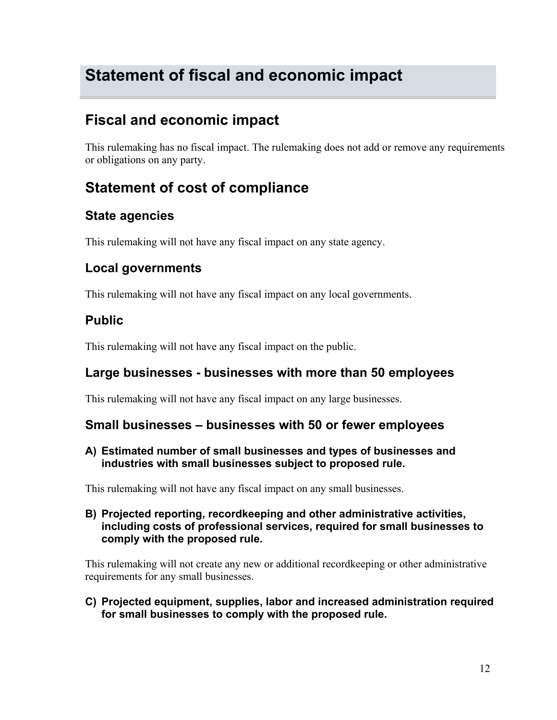# <span id="page-11-0"></span>**Statement of fiscal and economic impact**

### **Fiscal and economic impact**

This rulemaking has no fiscal impact. The rulemaking does not add or remove any requirements or obligations on any party.

### **Statement of cost of compliance**

#### **State agencies**

This rulemaking will not have any fiscal impact on any state agency.

#### **Local governments**

This rulemaking will not have any fiscal impact on any local governments.

#### **Public**

This rulemaking will not have any fiscal impact on the public.

#### **Large businesses - businesses with more than 50 employees**

This rulemaking will not have any fiscal impact on any large businesses.

#### **Small businesses – businesses with 50 or fewer employees**

**A) Estimated number of small businesses and types of businesses and industries with small businesses subject to proposed rule.**

This rulemaking will not have any fiscal impact on any small businesses.

**B) Projected reporting, recordkeeping and other administrative activities, including costs of professional services, required for small businesses to comply with the proposed rule.**

This rulemaking will not create any new or additional recordkeeping or other administrative requirements for any small businesses.

**C) Projected equipment, supplies, labor and increased administration required for small businesses to comply with the proposed rule.**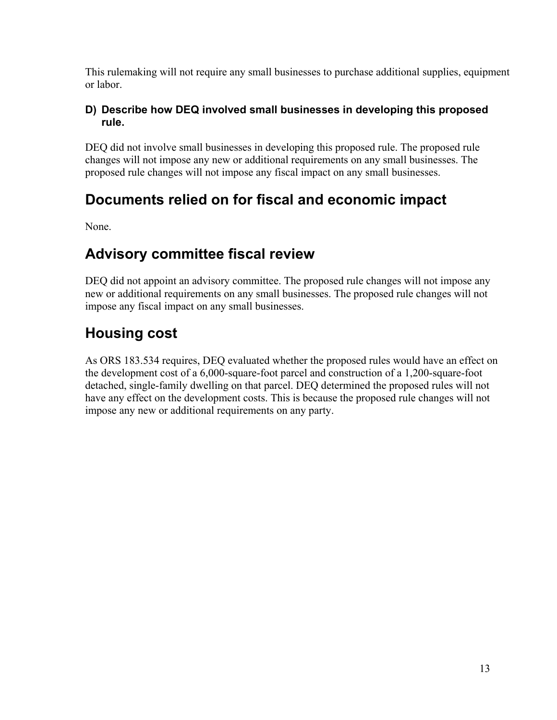This rulemaking will not require any small businesses to purchase additional supplies, equipment or labor.

#### **D) Describe how DEQ involved small businesses in developing this proposed rule.**

DEQ did not involve small businesses in developing this proposed rule. The proposed rule changes will not impose any new or additional requirements on any small businesses. The proposed rule changes will not impose any fiscal impact on any small businesses.

### **Documents relied on for fiscal and economic impact**

None.

### **Advisory committee fiscal review**

DEQ did not appoint an advisory committee. The proposed rule changes will not impose any new or additional requirements on any small businesses. The proposed rule changes will not impose any fiscal impact on any small businesses.

## **Housing cost**

As ORS 183.534 requires, DEQ evaluated whether the proposed rules would have an effect on the development cost of a 6,000-square-foot parcel and construction of a 1,200-square-foot detached, single-family dwelling on that parcel. DEQ determined the proposed rules will not have any effect on the development costs. This is because the proposed rule changes will not impose any new or additional requirements on any party.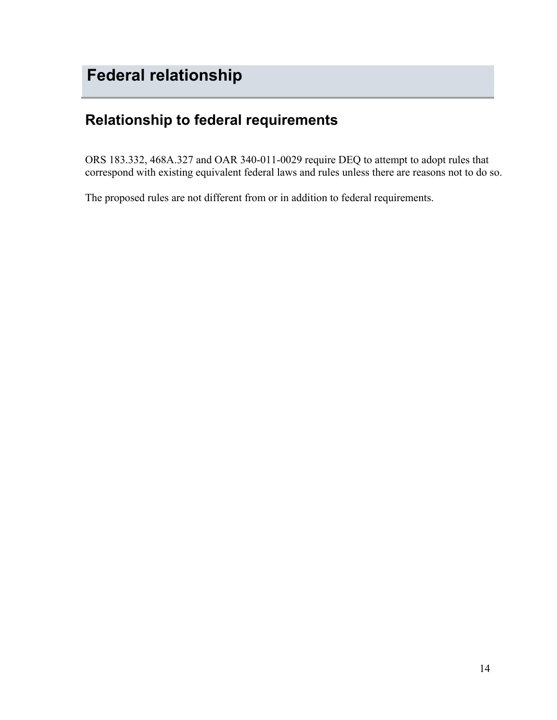### <span id="page-13-0"></span>**Relationship to federal requirements**

ORS 183.332, 468A.327 and OAR 340-011-0029 require DEQ to attempt to adopt rules that correspond with existing equivalent federal laws and rules unless there are reasons not to do so.

The proposed rules are not different from or in addition to federal requirements.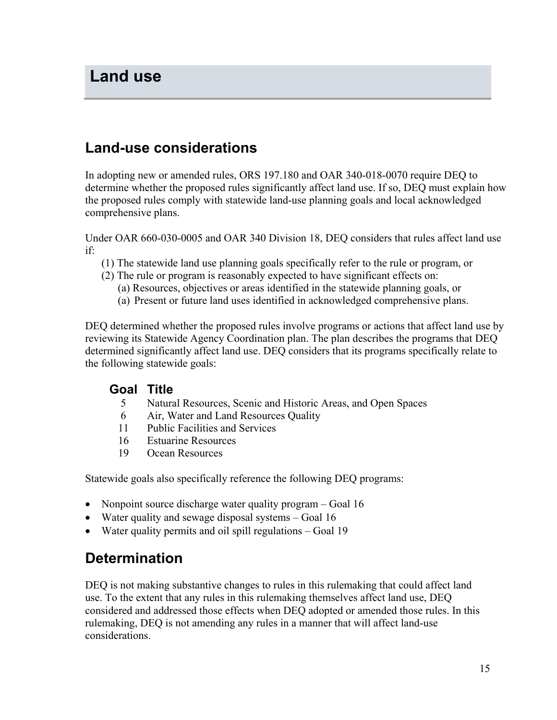### <span id="page-14-0"></span>**Land-use considerations**

In adopting new or amended rules, ORS 197.180 and OAR 340-018-0070 require DEQ to determine whether the proposed rules significantly affect land use. If so, DEQ must explain how the proposed rules comply with statewide land-use planning goals and local acknowledged comprehensive plans.

Under OAR 660-030-0005 and OAR 340 Division 18, DEQ considers that rules affect land use if:

- (1) The statewide land use planning goals specifically refer to the rule or program, or
- (2) The rule or program is reasonably expected to have significant effects on:
	- (a) Resources, objectives or areas identified in the statewide planning goals, or
	- (a) Present or future land uses identified in acknowledged comprehensive plans.

DEQ determined whether the proposed rules involve programs or actions that affect land use by reviewing its Statewide Agency Coordination plan. The plan describes the programs that DEQ determined significantly affect land use. DEQ considers that its programs specifically relate to the following statewide goals:

#### **Goal Title**

- 5 Natural Resources, Scenic and Historic Areas, and Open Spaces
- 6 Air, Water and Land Resources Quality
- 11 Public Facilities and Services
- 16 Estuarine Resources
- 19 Ocean Resources

Statewide goals also specifically reference the following DEQ programs:

- Nonpoint source discharge water quality program Goal 16
- Water quality and sewage disposal systems Goal 16
- Water quality permits and oil spill regulations Goal 19

### **Determination**

DEQ is not making substantive changes to rules in this rulemaking that could affect land use. To the extent that any rules in this rulemaking themselves affect land use, DEQ considered and addressed those effects when DEQ adopted or amended those rules. In this rulemaking, DEQ is not amending any rules in a manner that will affect land-use considerations.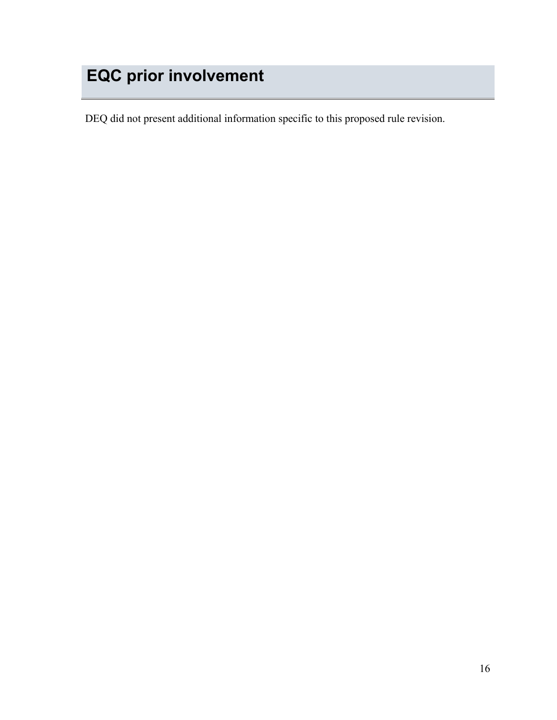# <span id="page-15-0"></span>**EQC prior involvement**

DEQ did not present additional information specific to this proposed rule revision.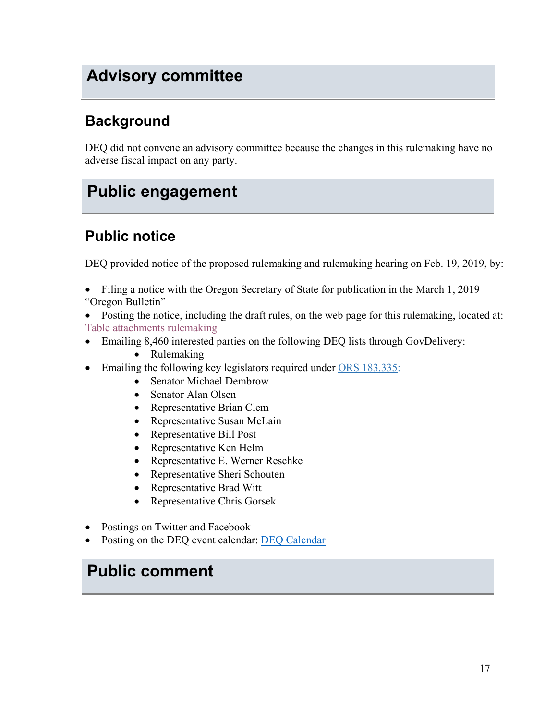# <span id="page-16-0"></span>**Advisory committee**

### **Background**

DEQ did not convene an advisory committee because the changes in this rulemaking have no adverse fiscal impact on any party.

# <span id="page-16-1"></span>**Public engagement**

### **Public notice**

DEQ provided notice of the proposed rulemaking and rulemaking hearing on Feb. 19, 2019, by:

- Filing a notice with the Oregon Secretary of State for publication in the March 1, 2019 "Oregon Bulletin"
- Posting the notice, including the draft rules, on the web page for this rulemaking, located at: [Table attachments rulemaking](https://www.oregon.gov/deq/Regulations/rulemaking/Pages/Rtables2019.aspx)
- Emailing 8,460 interested parties on the following DEQ lists through GovDelivery:
	- Rulemaking
- Emailing the following key legislators required under [ORS 183.335:](http://www.leg.state.or.us/ors/183.html)
	- Senator Michael Dembrow
	- Senator Alan Olsen
	- Representative Brian Clem
	- Representative Susan McLain
	- Representative Bill Post
	- Representative Ken Helm
	- Representative E. Werner Reschke
	- Representative Sheri Schouten
	- Representative Brad Witt
	- Representative Chris Gorsek
- Postings on Twitter and Facebook
- Posting on the DEQ event calendar: [DEQ Calendar](http://www.oregon.gov/deq/Get-Involved/Pages/Calendar.aspx)

# <span id="page-16-2"></span>**Public comment**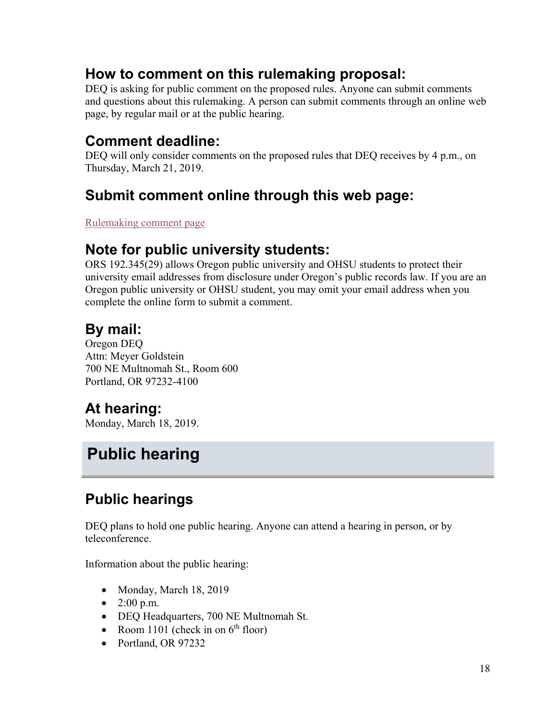### **How to comment on this rulemaking proposal:**

DEQ is asking for public comment on the proposed rules. Anyone can submit comments and questions about this rulemaking. A person can submit comments through an online web page, by regular mail or at the public hearing.

### **Comment deadline:**

DEQ will only consider comments on the proposed rules that DEQ receives by 4 p.m., on Thursday, March 21, 2019.

### **Submit comment online through this web page:**

[Rulemaking comment page](http://www.oregon.gov/deq/Regulations/rulemaking/Pages/ctables2019.aspx)

### **Note for public university students:**

ORS 192.345(29) allows Oregon public university and OHSU students to protect their university email addresses from disclosure under Oregon's public records law. If you are an Oregon public university or OHSU student, you may omit your email address when you complete the online form to submit a comment.

### **By mail:**

Oregon DEQ Attn: Meyer Goldstein 700 NE Multnomah St., Room 600 Portland, OR 97232-4100

### **At hearing:**

Monday, March 18, 2019.

# <span id="page-17-0"></span>**Public hearing**

### **Public hearings**

DEQ plans to hold one public hearing. Anyone can attend a hearing in person, or by teleconference.

Information about the public hearing:

- Monday, March 18, 2019
- 2:00 p.m.
- DEQ Headquarters, 700 NE Multnomah St.
- Room 1101 (check in on  $6<sup>th</sup>$  floor)
- Portland, OR 97232